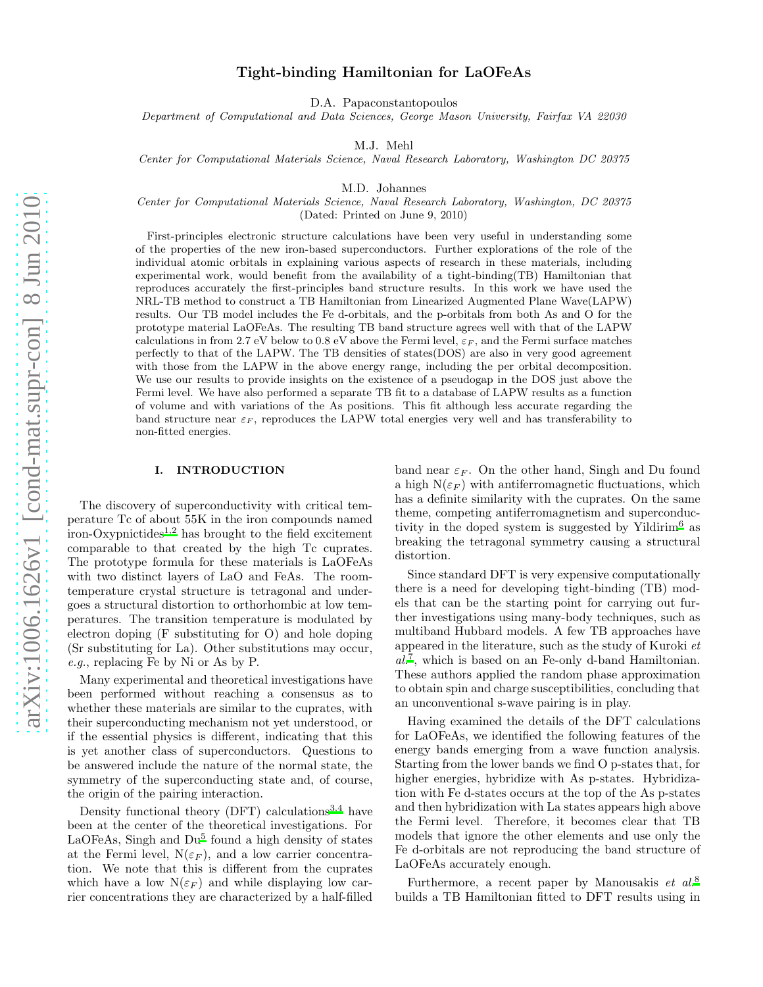# Tight-binding Hamiltonian for LaOFeAs

D.A. Papaconstantopoulos

Department of Computational and Data Sciences, George Mason University, Fairfax VA 22030

M.J. Mehl

Center for Computational Materials Science, Naval Research Laboratory, Washington DC 20375

M.D. Johannes

Center for Computational Materials Science, Naval Research Laboratory, Washington, DC 20375

(Dated: Printed on June 9, 2010)

First-principles electronic structure calculations have been very useful in understanding some of the properties of the new iron-based superconductors. Further explorations of the role of the individual atomic orbitals in explaining various aspects of research in these materials, including experimental work, would benefit from the availability of a tight-binding(TB) Hamiltonian that reproduces accurately the first-principles band structure results. In this work we have used the NRL-TB method to construct a TB Hamiltonian from Linearized Augmented Plane Wave(LAPW) results. Our TB model includes the Fe d-orbitals, and the p-orbitals from both As and O for the prototype material LaOFeAs. The resulting TB band structure agrees well with that of the LAPW calculations in from 2.7 eV below to 0.8 eV above the Fermi level,  $\varepsilon_F$ , and the Fermi surface matches perfectly to that of the LAPW. The TB densities of states(DOS) are also in very good agreement with those from the LAPW in the above energy range, including the per orbital decomposition. We use our results to provide insights on the existence of a pseudogap in the DOS just above the Fermi level. We have also performed a separate TB fit to a database of LAPW results as a function of volume and with variations of the As positions. This fit although less accurate regarding the band structure near  $\varepsilon_F$ , reproduces the LAPW total energies very well and has transferability to non-fitted energies.

## I. INTRODUCTION

The discovery of superconductivity with critical temperature Tc of about 55K in the iron compounds named iron-Oxypnictides<sup>[1](#page--1-0)[,2](#page--1-1)</sup> has brought to the field excitement comparable to that created by the high Tc cuprates. The prototype formula for these materials is LaOFeAs with two distinct layers of LaO and FeAs. The roomtemperature crystal structure is tetragonal and undergoes a structural distortion to orthorhombic at low temperatures. The transition temperature is modulated by electron doping (F substituting for O) and hole doping (Sr substituting for La). Other substitutions may occur, e.g., replacing Fe by Ni or As by P.

Many experimental and theoretical investigations have been performed without reaching a consensus as to whether these materials are similar to the cuprates, with their superconducting mechanism not yet understood, or if the essential physics is different, indicating that this is yet another class of superconductors. Questions to be answered include the nature of the normal state, the symmetry of the superconducting state and, of course, the origin of the pairing interaction.

Density functional theory  $(DFT)$  calculations<sup>[3](#page--1-2)[,4](#page--1-3)</sup> have been at the center of the theoretical investigations. For LaOFeAs, Singh and  $Du^5$  $Du^5$  $Du^5$  found a high density of states at the Fermi level,  $N(\varepsilon_F)$ , and a low carrier concentration. We note that this is different from the cuprates which have a low  $N(\varepsilon_F)$  and while displaying low carrier concentrations they are characterized by a half-filled

band near  $\varepsilon_F$ . On the other hand, Singh and Du found a high  $N(\varepsilon_F)$  with antiferromagnetic fluctuations, which has a definite similarity with the cuprates. On the same theme, competing antiferromagnetism and superconductivity in the doped system is suggested by Yildirim[6](#page--1-5) as breaking the tetragonal symmetry causing a structural distortion.

Since standard DFT is very expensive computationally there is a need for developing tight-binding (TB) models that can be the starting point for carrying out further investigations using many-body techniques, such as multiband Hubbard models. A few TB approaches have appeared in the literature, such as the study of Kuroki et al.[7](#page--1-6) , which is based on an Fe-only d-band Hamiltonian. These authors applied the random phase approximation to obtain spin and charge susceptibilities, concluding that an unconventional s-wave pairing is in play.

Having examined the details of the DFT calculations for LaOFeAs, we identified the following features of the energy bands emerging from a wave function analysis. Starting from the lower bands we find O p-states that, for higher energies, hybridize with As p-states. Hybridization with Fe d-states occurs at the top of the As p-states and then hybridization with La states appears high above the Fermi level. Therefore, it becomes clear that TB models that ignore the other elements and use only the Fe d-orbitals are not reproducing the band structure of LaOFeAs accurately enough.

Furthermore, a recent paper by Manousakis  $et \ al.^8$  $et \ al.^8$ builds a TB Hamiltonian fitted to DFT results using in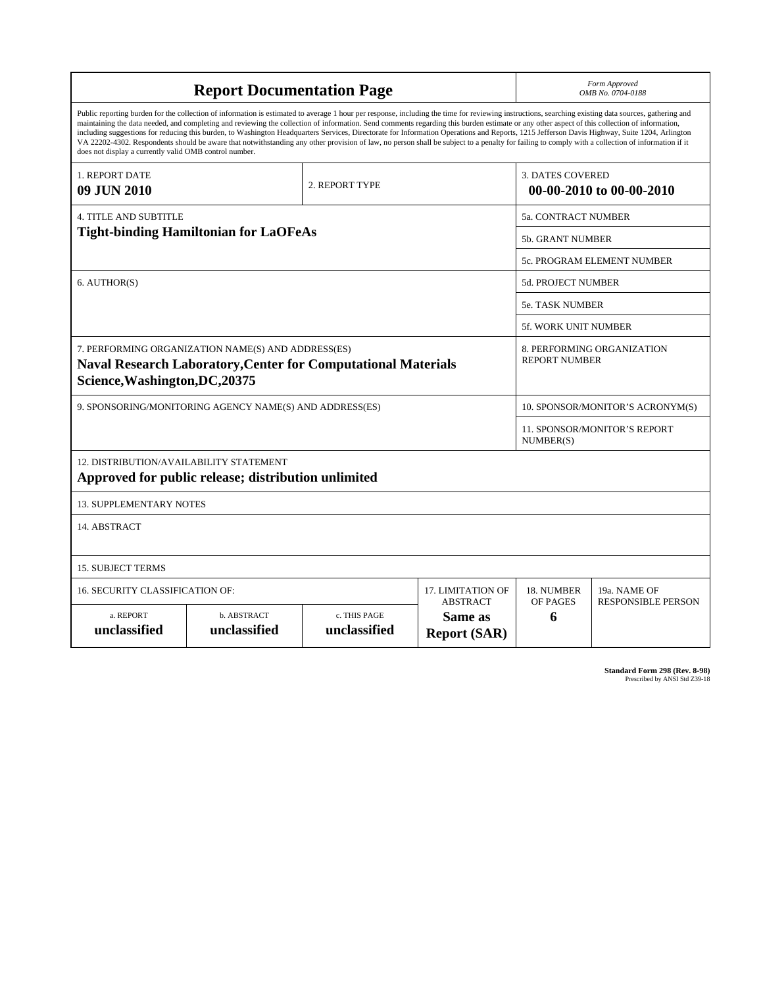| <b>Report Documentation Page</b>                                                                                                                                                                                                                                                                                                                                                                                                                                                                                                                                                                                                                                                                                                                                                                                                                                   |                             |                              |                                                   | Form Approved<br>OMB No. 0704-0188                  |                                  |
|--------------------------------------------------------------------------------------------------------------------------------------------------------------------------------------------------------------------------------------------------------------------------------------------------------------------------------------------------------------------------------------------------------------------------------------------------------------------------------------------------------------------------------------------------------------------------------------------------------------------------------------------------------------------------------------------------------------------------------------------------------------------------------------------------------------------------------------------------------------------|-----------------------------|------------------------------|---------------------------------------------------|-----------------------------------------------------|----------------------------------|
| Public reporting burden for the collection of information is estimated to average 1 hour per response, including the time for reviewing instructions, searching existing data sources, gathering and<br>maintaining the data needed, and completing and reviewing the collection of information. Send comments regarding this burden estimate or any other aspect of this collection of information,<br>including suggestions for reducing this burden, to Washington Headquarters Services, Directorate for Information Operations and Reports, 1215 Jefferson Davis Highway, Suite 1204, Arlington<br>VA 22202-4302. Respondents should be aware that notwithstanding any other provision of law, no person shall be subject to a penalty for failing to comply with a collection of information if it<br>does not display a currently valid OMB control number. |                             |                              |                                                   |                                                     |                                  |
| 1. REPORT DATE<br>09 JUN 2010                                                                                                                                                                                                                                                                                                                                                                                                                                                                                                                                                                                                                                                                                                                                                                                                                                      |                             | 2. REPORT TYPE               |                                                   | <b>3. DATES COVERED</b><br>00-00-2010 to 00-00-2010 |                                  |
| <b>4. TITLE AND SUBTITLE</b>                                                                                                                                                                                                                                                                                                                                                                                                                                                                                                                                                                                                                                                                                                                                                                                                                                       |                             |                              |                                                   | <b>5a. CONTRACT NUMBER</b>                          |                                  |
| <b>Tight-binding Hamiltonian for LaOFeAs</b>                                                                                                                                                                                                                                                                                                                                                                                                                                                                                                                                                                                                                                                                                                                                                                                                                       |                             |                              |                                                   | <b>5b. GRANT NUMBER</b>                             |                                  |
|                                                                                                                                                                                                                                                                                                                                                                                                                                                                                                                                                                                                                                                                                                                                                                                                                                                                    |                             |                              |                                                   | 5c. PROGRAM ELEMENT NUMBER                          |                                  |
| 6. AUTHOR(S)                                                                                                                                                                                                                                                                                                                                                                                                                                                                                                                                                                                                                                                                                                                                                                                                                                                       |                             |                              | <b>5d. PROJECT NUMBER</b>                         |                                                     |                                  |
|                                                                                                                                                                                                                                                                                                                                                                                                                                                                                                                                                                                                                                                                                                                                                                                                                                                                    |                             |                              |                                                   | <b>5e. TASK NUMBER</b>                              |                                  |
|                                                                                                                                                                                                                                                                                                                                                                                                                                                                                                                                                                                                                                                                                                                                                                                                                                                                    |                             |                              |                                                   | <b>5f. WORK UNIT NUMBER</b>                         |                                  |
| 7. PERFORMING ORGANIZATION NAME(S) AND ADDRESS(ES)<br>8. PERFORMING ORGANIZATION<br><b>REPORT NUMBER</b><br><b>Naval Research Laboratory, Center for Computational Materials</b><br>Science, Washington, DC, 20375                                                                                                                                                                                                                                                                                                                                                                                                                                                                                                                                                                                                                                                 |                             |                              |                                                   |                                                     |                                  |
| 9. SPONSORING/MONITORING AGENCY NAME(S) AND ADDRESS(ES)                                                                                                                                                                                                                                                                                                                                                                                                                                                                                                                                                                                                                                                                                                                                                                                                            |                             |                              |                                                   |                                                     | 10. SPONSOR/MONITOR'S ACRONYM(S) |
|                                                                                                                                                                                                                                                                                                                                                                                                                                                                                                                                                                                                                                                                                                                                                                                                                                                                    |                             |                              | 11. SPONSOR/MONITOR'S REPORT<br>NUMBER(S)         |                                                     |                                  |
| 12. DISTRIBUTION/AVAILABILITY STATEMENT<br>Approved for public release; distribution unlimited                                                                                                                                                                                                                                                                                                                                                                                                                                                                                                                                                                                                                                                                                                                                                                     |                             |                              |                                                   |                                                     |                                  |
| <b>13. SUPPLEMENTARY NOTES</b>                                                                                                                                                                                                                                                                                                                                                                                                                                                                                                                                                                                                                                                                                                                                                                                                                                     |                             |                              |                                                   |                                                     |                                  |
| 14. ABSTRACT                                                                                                                                                                                                                                                                                                                                                                                                                                                                                                                                                                                                                                                                                                                                                                                                                                                       |                             |                              |                                                   |                                                     |                                  |
| <b>15. SUBJECT TERMS</b>                                                                                                                                                                                                                                                                                                                                                                                                                                                                                                                                                                                                                                                                                                                                                                                                                                           |                             |                              |                                                   |                                                     |                                  |
| <b>16. SECURITY CLASSIFICATION OF:</b>                                                                                                                                                                                                                                                                                                                                                                                                                                                                                                                                                                                                                                                                                                                                                                                                                             | 17. LIMITATION OF           | 18. NUMBER                   | 19a. NAME OF                                      |                                                     |                                  |
| a. REPORT<br>unclassified                                                                                                                                                                                                                                                                                                                                                                                                                                                                                                                                                                                                                                                                                                                                                                                                                                          | b. ABSTRACT<br>unclassified | c. THIS PAGE<br>unclassified | <b>ABSTRACT</b><br>Same as<br><b>Report (SAR)</b> | OF PAGES<br>6                                       | <b>RESPONSIBLE PERSON</b>        |

**Standard Form 298 (Rev. 8-98)**<br>Prescribed by ANSI Std Z39-18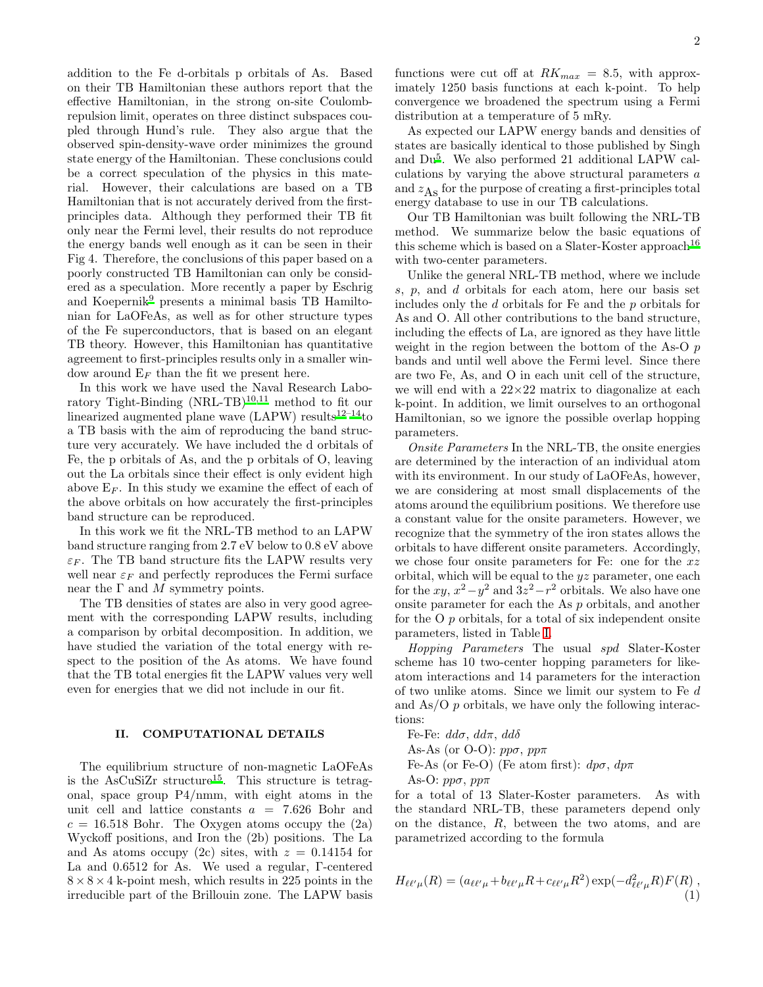addition to the Fe d-orbitals p orbitals of As. Based on their TB Hamiltonian these authors report that the effective Hamiltonian, in the strong on-site Coulombrepulsion limit, operates on three distinct subspaces coupled through Hund's rule. They also argue that the observed spin-density-wave order minimizes the ground state energy of the Hamiltonian. These conclusions could be a correct speculation of the physics in this material. However, their calculations are based on a TB Hamiltonian that is not accurately derived from the firstprinciples data. Although they performed their TB fit only near the Fermi level, their results do not reproduce the energy bands well enough as it can be seen in their Fig 4. Therefore, the conclusions of this paper based on a poorly constructed TB Hamiltonian can only be considered as a speculation. More recently a paper by Eschrig and Koepernik[9](#page-6-0) presents a minimal basis TB Hamiltonian for LaOFeAs, as well as for other structure types of the Fe superconductors, that is based on an elegant TB theory. However, this Hamiltonian has quantitative agreement to first-principles results only in a smaller window around  $E_F$  than the fit we present here.

In this work we have used the Naval Research Labo-ratory Tight-Binding (NRL-TB)<sup>[10](#page-6-1)[,11](#page-6-2)</sup> method to fit our linearized augmented plane wave  $(LAPW)$  results<sup>[12](#page-6-3)[–14](#page-6-4)</sup>to a TB basis with the aim of reproducing the band structure very accurately. We have included the d orbitals of Fe, the p orbitals of As, and the p orbitals of O, leaving out the La orbitals since their effect is only evident high above  $E_F$ . In this study we examine the effect of each of the above orbitals on how accurately the first-principles band structure can be reproduced.

In this work we fit the NRL-TB method to an LAPW band structure ranging from 2.7 eV below to 0.8 eV above  $\varepsilon_F$ . The TB band structure fits the LAPW results very well near  $\varepsilon_F$  and perfectly reproduces the Fermi surface near the  $\Gamma$  and  $M$  symmetry points.

The TB densities of states are also in very good agreement with the corresponding LAPW results, including a comparison by orbital decomposition. In addition, we have studied the variation of the total energy with respect to the position of the As atoms. We have found that the TB total energies fit the LAPW values very well even for energies that we did not include in our fit.

## II. COMPUTATIONAL DETAILS

The equilibrium structure of non-magnetic LaOFeAs is the AsCuSiZr structure<sup>[15](#page-6-5)</sup>. This structure is tetragonal, space group P4/nmm, with eight atoms in the unit cell and lattice constants  $a = 7.626$  Bohr and  $c = 16.518$  Bohr. The Oxygen atoms occupy the  $(2a)$ Wyckoff positions, and Iron the (2b) positions. The La and As atoms occupy (2c) sites, with  $z = 0.14154$  for La and 0.6512 for As. We used a regular, Γ-centered  $8 \times 8 \times 4$  k-point mesh, which results in 225 points in the irreducible part of the Brillouin zone. The LAPW basis

functions were cut off at  $RK_{max} = 8.5$ , with approximately 1250 basis functions at each k-point. To help convergence we broadened the spectrum using a Fermi distribution at a temperature of 5 mRy.

As expected our LAPW energy bands and densities of states are basically identical to those published by Singh and Du[5](#page-6-6) . We also performed 21 additional LAPW calculations by varying the above structural parameters a and  $z_{\text{As}}$  for the purpose of creating a first-principles total energy database to use in our TB calculations.

Our TB Hamiltonian was built following the NRL-TB method. We summarize below the basic equations of this scheme which is based on a Slater-Koster approach<sup>[16](#page-6-7)</sup> with two-center parameters.

Unlike the general NRL-TB method, where we include s, p, and d orbitals for each atom, here our basis set includes only the d orbitals for Fe and the p orbitals for As and O. All other contributions to the band structure, including the effects of La, are ignored as they have little weight in the region between the bottom of the As-O p bands and until well above the Fermi level. Since there are two Fe, As, and O in each unit cell of the structure, we will end with a  $22\times22$  matrix to diagonalize at each k-point. In addition, we limit ourselves to an orthogonal Hamiltonian, so we ignore the possible overlap hopping parameters.

Onsite Parameters In the NRL-TB, the onsite energies are determined by the interaction of an individual atom with its environment. In our study of LaOFeAs, however, we are considering at most small displacements of the atoms around the equilibrium positions. We therefore use a constant value for the onsite parameters. However, we recognize that the symmetry of the iron states allows the orbitals to have different onsite parameters. Accordingly, we chose four onsite parameters for Fe: one for the xz orbital, which will be equal to the  $yz$  parameter, one each for the  $xy, x^2-y^2$  and  $3z^2-r^2$  orbitals. We also have one onsite parameter for each the As p orbitals, and another for the O p orbitals, for a total of six independent onsite parameters, listed in Table [I.](#page-3-0)

Hopping Parameters The usual spd Slater-Koster scheme has 10 two-center hopping parameters for likeatom interactions and 14 parameters for the interaction of two unlike atoms. Since we limit our system to Fe d and  $As/O$  p orbitals, we have only the following interactions:

Fe-Fe:  $dd\sigma$ ,  $dd\pi$ ,  $dd\delta$ 

As-As (or O-O):  $pp\sigma$ ,  $pp\pi$ 

Fe-As (or Fe-O) (Fe atom first):  $dp\sigma$ ,  $dp\pi$ 

As-O:  $pp\sigma$ ,  $pp\pi$ 

for a total of 13 Slater-Koster parameters. As with the standard NRL-TB, these parameters depend only on the distance, R, between the two atoms, and are parametrized according to the formula

<span id="page-2-0"></span>
$$
H_{\ell\ell'\mu}(R) = (a_{\ell\ell'\mu} + b_{\ell\ell'\mu}R + c_{\ell\ell'\mu}R^2) \exp(-d_{\ell\ell'\mu}^2R)F(R),
$$
\n(1)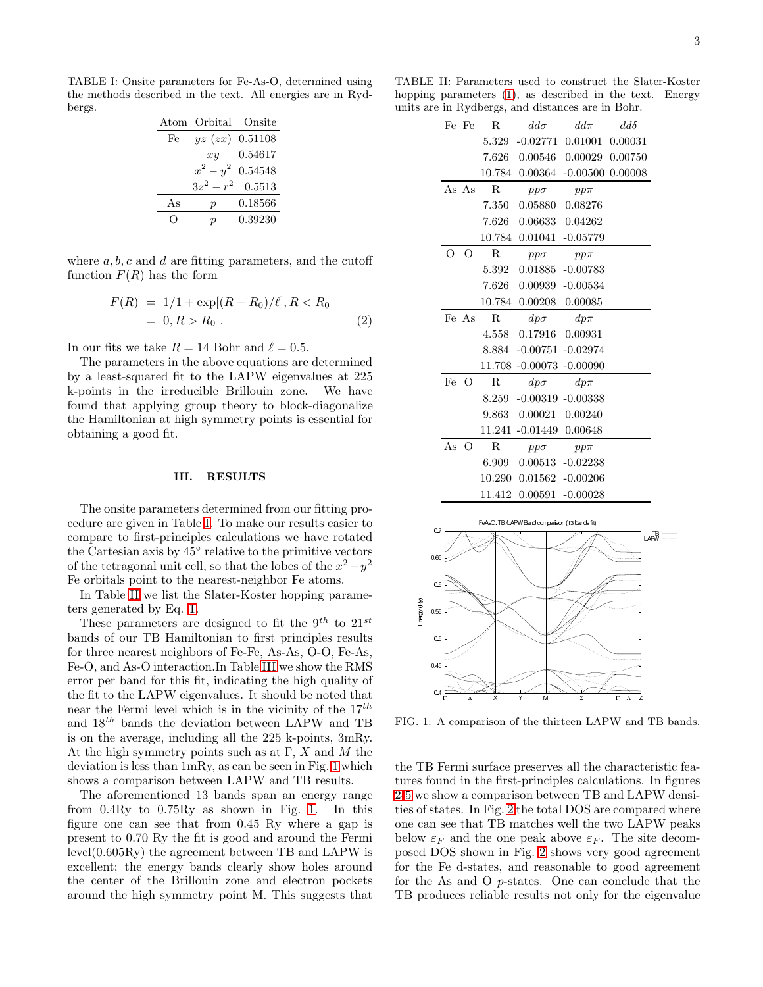TABLE I: Onsite parameters for Fe-As-O, determined using the methods described in the text. All energies are in Rydbergs.

<span id="page-3-0"></span>

|    | Atom Orbital Onsite |               |
|----|---------------------|---------------|
| Fe | yz (zx) 0.51108     |               |
|    | xy                  | 0.54617       |
|    | $x^2-y^2$           | 0.54548       |
|    | $3z^2 - r^2$        | 0.5513        |
| As | р                   | $\,0.18566\,$ |
|    | р                   | 0.39230       |

where  $a, b, c$  and  $d$  are fitting parameters, and the cutoff function  $F(R)$  has the form

$$
F(R) = 1/1 + \exp[(R - R_0)/\ell], R < R_0
$$
\n
$$
= 0, R > R_0 \tag{2}
$$

In our fits we take  $R = 14$  Bohr and  $\ell = 0.5$ .

The parameters in the above equations are determined by a least-squared fit to the LAPW eigenvalues at 225 k-points in the irreducible Brillouin zone. We have found that applying group theory to block-diagonalize the Hamiltonian at high symmetry points is essential for obtaining a good fit.

#### III. RESULTS

The onsite parameters determined from our fitting procedure are given in Table [I.](#page-3-0) To make our results easier to compare to first-principles calculations we have rotated the Cartesian axis by 45◦ relative to the primitive vectors of the tetragonal unit cell, so that the lobes of the  $x^2 - y^2$ Fe orbitals point to the nearest-neighbor Fe atoms.

In Table [II](#page-3-1) we list the Slater-Koster hopping parameters generated by Eq. [1.](#page-2-0)

These parameters are designed to fit the  $9^{th}$  to  $21^{st}$ bands of our TB Hamiltonian to first principles results for three nearest neighbors of Fe-Fe, As-As, O-O, Fe-As, Fe-O, and As-O interaction.In Table [III](#page-4-0) we show the RMS error per band for this fit, indicating the high quality of the fit to the LAPW eigenvalues. It should be noted that near the Fermi level which is in the vicinity of the  $17<sup>th</sup>$ and  $18^{th}$  bands the deviation between LAPW and TB is on the average, including all the 225 k-points, 3mRy. At the high symmetry points such as at  $\Gamma$ , X and M the deviation is less than 1mRy, as can be seen in Fig. [1](#page-3-2) which shows a comparison between LAPW and TB results.

The aforementioned 13 bands span an energy range from 0.4Ry to 0.75Ry as shown in Fig. [1.](#page-3-2) In this figure one can see that from 0.45 Ry where a gap is present to 0.70 Ry the fit is good and around the Fermi level(0.605Ry) the agreement between TB and LAPW is excellent; the energy bands clearly show holes around the center of the Brillouin zone and electron pockets around the high symmetry point M. This suggests that

TABLE II: Parameters used to construct the Slater-Koster hopping parameters  $(1)$ , as described in the text. Energy units are in Rydbergs, and distances are in Bohr.

<span id="page-3-1"></span>

|     |          | Fe Fe    | R          | $dd\sigma$                                     | $dd\pi$                         | $dd\delta$ |      |
|-----|----------|----------|------------|------------------------------------------------|---------------------------------|------------|------|
|     |          |          | 5.329      |                                                | $-0.02771$ $0.01001$            | 0.00031    |      |
|     |          |          |            |                                                | 7.626  0.00546  0.00029         | 0.00750    |      |
|     |          |          |            |                                                | 10.784 0.00364 -0.00500 0.00008 |            |      |
|     |          | As As    | R.         | $pp\sigma$                                     | $pp\pi$                         |            |      |
|     |          |          | 7.350      |                                                | 0.05880 0.08276                 |            |      |
|     |          |          | 7.626      |                                                | 0.06633 0.04262                 |            |      |
|     |          |          | 10.784     |                                                | 0.01041 -0.05779                |            |      |
|     | $\Omega$ | $\Omega$ | R.         | $pp\sigma$                                     | $pp\pi$                         |            |      |
|     |          |          | 5.392      | 0.01885                                        | $-0.00783$                      |            |      |
|     |          |          |            |                                                | 7.626 0.00939 -0.00534          |            |      |
|     |          |          |            |                                                | 10.784 0.00208 0.00085          |            |      |
|     |          | Fe As    | R.         | $dp\sigma$                                     | $dp\pi$                         |            |      |
|     |          |          | 4.558      |                                                | 0.17916 0.00931                 |            |      |
|     |          |          | 8.884      |                                                | $-0.00751 - 0.02974$            |            |      |
|     |          |          |            |                                                | 11.708 -0.00073 -0.00090        |            |      |
|     | Fe       | $\Omega$ | $_{\rm R}$ | $dp\sigma$                                     | $dp\pi$                         |            |      |
|     |          |          | 8.259      |                                                | $-0.00319 - 0.00338$            |            |      |
|     |          |          |            |                                                | 9.863 0.00021 0.00240           |            |      |
|     |          |          |            |                                                | 11.241 -0.01449 0.00648         |            |      |
|     | As       | $\Omega$ | R          | $pp\sigma$                                     | $pp\pi$                         |            |      |
|     |          |          | 6.909      |                                                | $0.00513 - 0.02238$             |            |      |
|     |          |          |            |                                                | 10.290 0.01562 -0.00206         |            |      |
|     |          |          |            |                                                | 11.412 0.00591 -0.00028         |            |      |
|     |          |          |            |                                                |                                 |            |      |
| 0.7 |          |          |            | FeAsO: TB /LAPW Band comparison (13 bands fit) |                                 |            |      |
|     |          |          |            |                                                |                                 |            | LAPW |
| 65  |          |          |            |                                                |                                 |            |      |
|     |          |          |            |                                                |                                 |            |      |
| 0.6 |          |          |            |                                                |                                 |            |      |
| 55  |          |          |            |                                                |                                 |            |      |
|     |          |          |            |                                                |                                 |            |      |



<span id="page-3-2"></span>FIG. 1: A comparison of the thirteen LAPW and TB bands.

the TB Fermi surface preserves all the characteristic features found in the first-principles calculations. In figures [2](#page-4-1)[-5](#page-5-0) we show a comparison between TB and LAPW densities of states. In Fig. [2](#page-4-1) the total DOS are compared where one can see that TB matches well the two LAPW peaks below  $\varepsilon_F$  and the one peak above  $\varepsilon_F$ . The site decomposed DOS shown in Fig. [2](#page-4-1) shows very good agreement for the Fe d-states, and reasonable to good agreement for the As and O p-states. One can conclude that the TB produces reliable results not only for the eigenvalue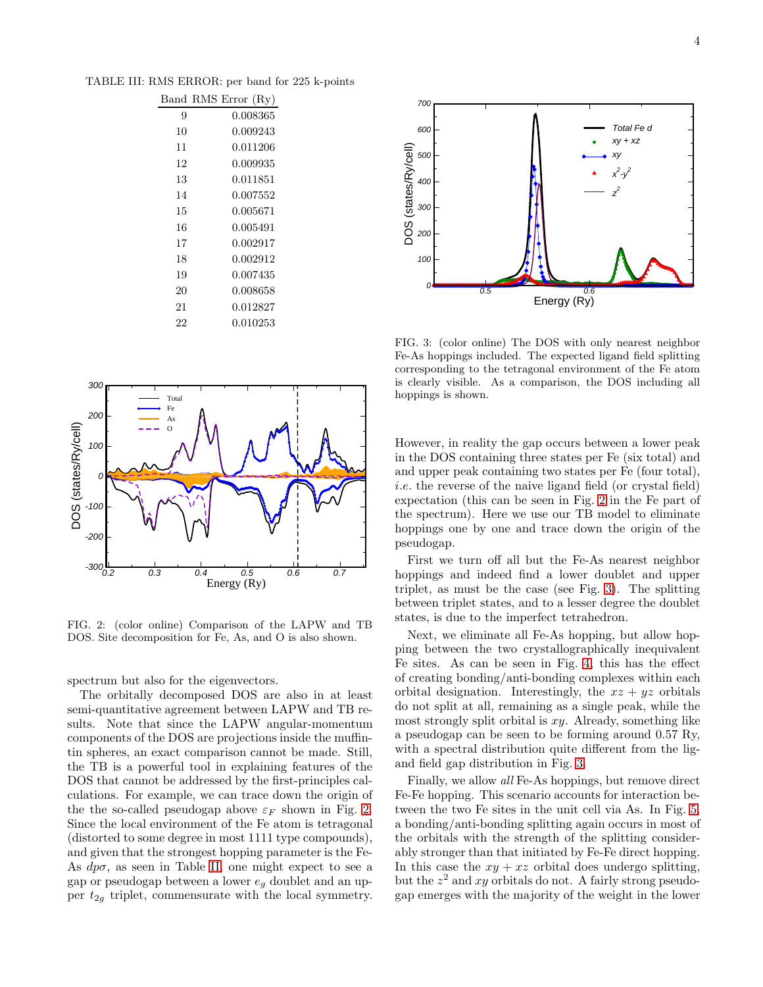TABLE III: RMS ERROR: per band for 225 k-points

<span id="page-4-0"></span>

|    | Band RMS Error (Ry)  |
|----|----------------------|
| 9  | 0.008365             |
| 10 | 0.009243             |
| 11 | 0.011206             |
| 12 | 0.009935             |
| 13 | 0.011851             |
| 14 | $\!\!\!\!\!0.007552$ |
| 15 | 0.005671             |
| 16 | 0.005491             |
| 17 | 0.002917             |
| 18 | 0.002912             |
| 19 | 0.007435             |
| 20 | 0.008658             |
| 21 | 0.012827             |
| 22 | 0.010253             |



<span id="page-4-1"></span>FIG. 2: (color online) Comparison of the LAPW and TB DOS. Site decomposition for Fe, As, and O is also shown.

spectrum but also for the eigenvectors.

The orbitally decomposed DOS are also in at least semi-quantitative agreement between LAPW and TB results. Note that since the LAPW angular-momentum components of the DOS are projections inside the muffintin spheres, an exact comparison cannot be made. Still, the TB is a powerful tool in explaining features of the DOS that cannot be addressed by the first-principles calculations. For example, we can trace down the origin of the the so-called pseudogap above  $\varepsilon_F$  shown in Fig. [2.](#page-4-1) Since the local environment of the Fe atom is tetragonal (distorted to some degree in most 1111 type compounds), and given that the strongest hopping parameter is the Fe-As  $dp\sigma$ , as seen in Table [II,](#page-3-1) one might expect to see a gap or pseudogap between a lower  $e_g$  doublet and an upper  $t_{2g}$  triplet, commensurate with the local symmetry.



<span id="page-4-2"></span>FIG. 3: (color online) The DOS with only nearest neighbor Fe-As hoppings included. The expected ligand field splitting corresponding to the tetragonal environment of the Fe atom is clearly visible. As a comparison, the DOS including all hoppings is shown.

However, in reality the gap occurs between a lower peak in the DOS containing three states per Fe (six total) and and upper peak containing two states per Fe (four total), i.e. the reverse of the naive ligand field (or crystal field) expectation (this can be seen in Fig. [2](#page-4-1) in the Fe part of the spectrum). Here we use our TB model to eliminate hoppings one by one and trace down the origin of the pseudogap.

First we turn off all but the Fe-As nearest neighbor hoppings and indeed find a lower doublet and upper triplet, as must be the case (see Fig. [3\)](#page-4-2). The splitting between triplet states, and to a lesser degree the doublet states, is due to the imperfect tetrahedron.

Next, we eliminate all Fe-As hopping, but allow hopping between the two crystallographically inequivalent Fe sites. As can be seen in Fig. [4,](#page-5-1) this has the effect of creating bonding/anti-bonding complexes within each orbital designation. Interestingly, the  $xz + yz$  orbitals do not split at all, remaining as a single peak, while the most strongly split orbital is  $xy$ . Already, something like a pseudogap can be seen to be forming around 0.57 Ry, with a spectral distribution quite different from the ligand field gap distribution in Fig. [3.](#page-4-2)

Finally, we allow all Fe-As hoppings, but remove direct Fe-Fe hopping. This scenario accounts for interaction between the two Fe sites in the unit cell via As. In Fig. [5,](#page-5-0) a bonding/anti-bonding splitting again occurs in most of the orbitals with the strength of the splitting considerably stronger than that initiated by Fe-Fe direct hopping. In this case the  $xy + xz$  orbital does undergo splitting, but the  $z^2$  and  $xy$  orbitals do not. A fairly strong pseudogap emerges with the majority of the weight in the lower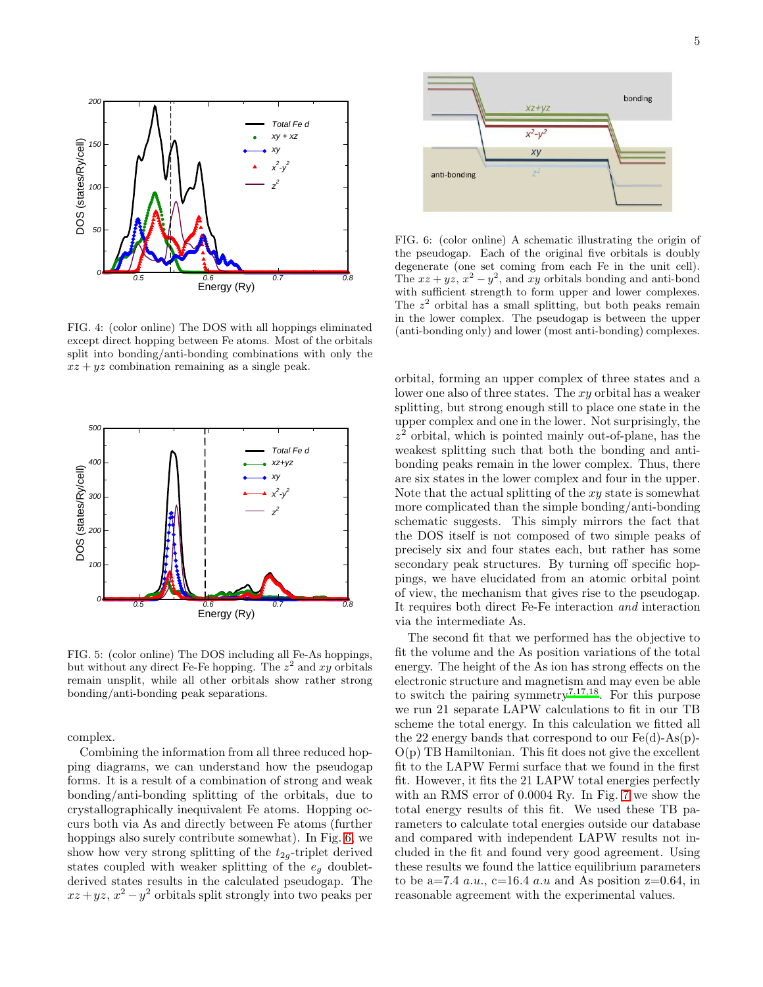

<span id="page-5-1"></span>FIG. 4: (color online) The DOS with all hoppings eliminated except direct hopping between Fe atoms. Most of the orbitals split into bonding/anti-bonding combinations with only the  $xz + yz$  combination remaining as a single peak.



<span id="page-5-0"></span>FIG. 5: (color online) The DOS including all Fe-As hoppings, but without any direct Fe-Fe hopping. The  $z^2$  and xy orbitals remain unsplit, while all other orbitals show rather strong bonding/anti-bonding peak separations.

complex.

Combining the information from all three reduced hopping diagrams, we can understand how the pseudogap forms. It is a result of a combination of strong and weak bonding/anti-bonding splitting of the orbitals, due to crystallographically inequivalent Fe atoms. Hopping occurs both via As and directly between Fe atoms (further hoppings also surely contribute somewhat). In Fig. [6,](#page-5-2) we show how very strong splitting of the  $t_{2g}$ -triplet derived states coupled with weaker splitting of the  $e_q$  doubletderived states results in the calculated pseudogap. The  $xz+yz, x^2-y^2$  orbitals split strongly into two peaks per



<span id="page-5-2"></span>FIG. 6: (color online) A schematic illustrating the origin of the pseudogap. Each of the original five orbitals is doubly degenerate (one set coming from each Fe in the unit cell). The  $xz + yz$ ,  $x^2 - y^2$ , and  $xy$  orbitals bonding and anti-bond with sufficient strength to form upper and lower complexes. The  $z^2$  orbital has a small splitting, but both peaks remain in the lower complex. The pseudogap is between the upper (anti-bonding only) and lower (most anti-bonding) complexes.

orbital, forming an upper complex of three states and a lower one also of three states. The xy orbital has a weaker splitting, but strong enough still to place one state in the upper complex and one in the lower. Not surprisingly, the  $z<sup>2</sup>$  orbital, which is pointed mainly out-of-plane, has the weakest splitting such that both the bonding and antibonding peaks remain in the lower complex. Thus, there are six states in the lower complex and four in the upper. Note that the actual splitting of the  $xy$  state is somewhat more complicated than the simple bonding/anti-bonding schematic suggests. This simply mirrors the fact that the DOS itself is not composed of two simple peaks of precisely six and four states each, but rather has some secondary peak structures. By turning off specific hoppings, we have elucidated from an atomic orbital point of view, the mechanism that gives rise to the pseudogap. It requires both direct Fe-Fe interaction and interaction via the intermediate As.

The second fit that we performed has the objective to fit the volume and the As position variations of the total energy. The height of the As ion has strong effects on the electronic structure and magnetism and may even be able to switch the pairing s[y](#page-6-8)mmetry<sup>7[,17](#page-6-9)[,18](#page-6-10)</sup>. For this purpose we run 21 separate LAPW calculations to fit in our TB scheme the total energy. In this calculation we fitted all the 22 energy bands that correspond to our  $Fe(d)$ -As(p)- $O(p)$  TB Hamiltonian. This fit does not give the excellent fit to the LAPW Fermi surface that we found in the first fit. However, it fits the 21 LAPW total energies perfectly with an RMS error of 0.0004 Ry. In Fig. [7](#page-6-11) we show the total energy results of this fit. We used these TB parameters to calculate total energies outside our database and compared with independent LAPW results not included in the fit and found very good agreement. Using these results we found the lattice equilibrium parameters to be a=7.4 *a.u.*, c=16.4 *a.u* and As position z=0.64, in reasonable agreement with the experimental values.